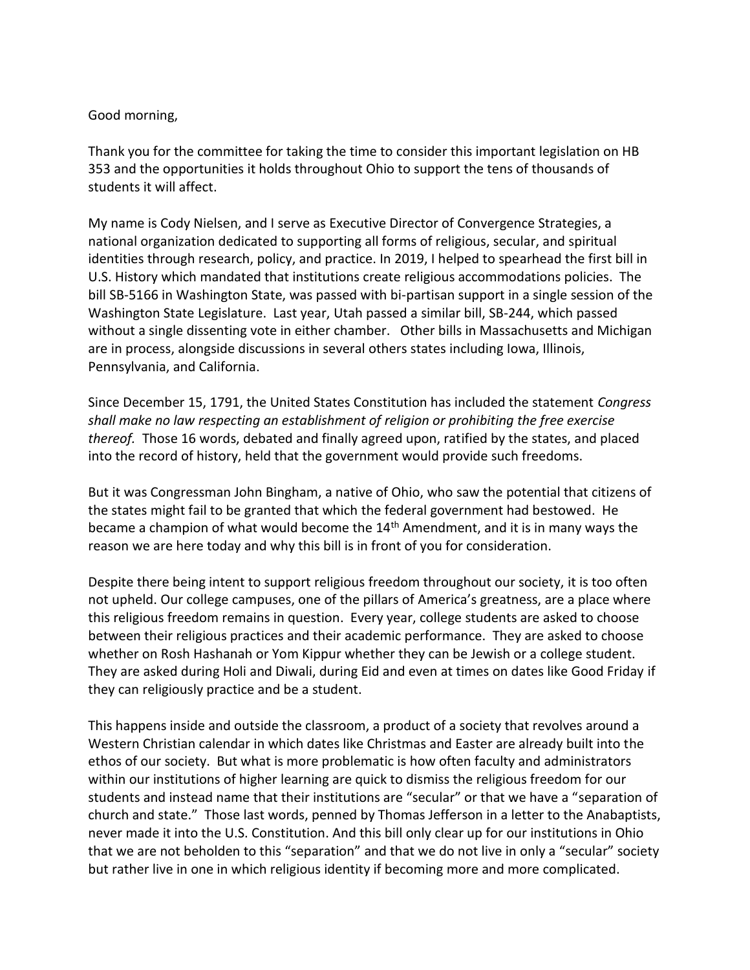## Good morning,

Thank you for the committee for taking the time to consider this important legislation on HB 353 and the opportunities it holds throughout Ohio to support the tens of thousands of students it will affect.

My name is Cody Nielsen, and I serve as Executive Director of Convergence Strategies, a national organization dedicated to supporting all forms of religious, secular, and spiritual identities through research, policy, and practice. In 2019, I helped to spearhead the first bill in U.S. History which mandated that institutions create religious accommodations policies. The bill SB-5166 in Washington State, was passed with bi-partisan support in a single session of the Washington State Legislature. Last year, Utah passed a similar bill, SB-244, which passed without a single dissenting vote in either chamber. Other bills in Massachusetts and Michigan are in process, alongside discussions in several others states including Iowa, Illinois, Pennsylvania, and California.

Since December 15, 1791, the United States Constitution has included the statement *Congress shall make no law respecting an establishment of religion or prohibiting the free exercise thereof.* Those 16 words, debated and finally agreed upon, ratified by the states, and placed into the record of history, held that the government would provide such freedoms.

But it was Congressman John Bingham, a native of Ohio, who saw the potential that citizens of the states might fail to be granted that which the federal government had bestowed. He became a champion of what would become the 14<sup>th</sup> Amendment, and it is in many ways the reason we are here today and why this bill is in front of you for consideration.

Despite there being intent to support religious freedom throughout our society, it is too often not upheld. Our college campuses, one of the pillars of America's greatness, are a place where this religious freedom remains in question. Every year, college students are asked to choose between their religious practices and their academic performance. They are asked to choose whether on Rosh Hashanah or Yom Kippur whether they can be Jewish or a college student. They are asked during Holi and Diwali, during Eid and even at times on dates like Good Friday if they can religiously practice and be a student.

This happens inside and outside the classroom, a product of a society that revolves around a Western Christian calendar in which dates like Christmas and Easter are already built into the ethos of our society. But what is more problematic is how often faculty and administrators within our institutions of higher learning are quick to dismiss the religious freedom for our students and instead name that their institutions are "secular" or that we have a "separation of church and state." Those last words, penned by Thomas Jefferson in a letter to the Anabaptists, never made it into the U.S. Constitution. And this bill only clear up for our institutions in Ohio that we are not beholden to this "separation" and that we do not live in only a "secular" society but rather live in one in which religious identity if becoming more and more complicated.